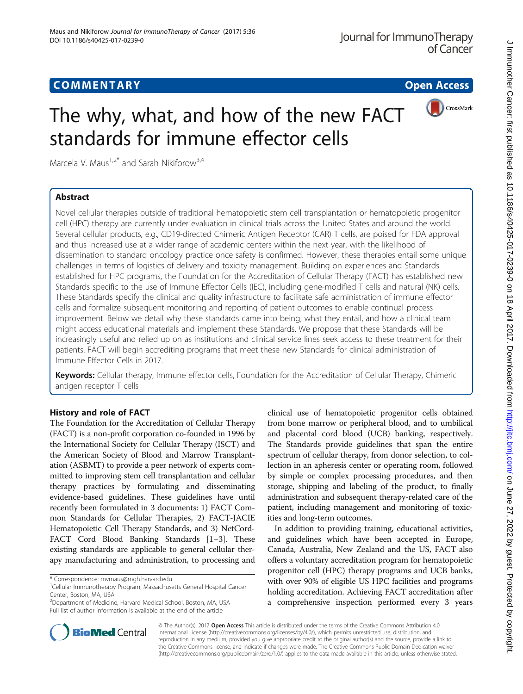# **COMMENTARY COMMENTARY Open Access**

CrossMark

# The why, what, and how of the new FACT standards for immune effector cells

Marcela V. Maus<sup>1,2\*</sup> and Sarah Nikiforow<sup>3,4</sup>

# Abstract

Novel cellular therapies outside of traditional hematopoietic stem cell transplantation or hematopoietic progenitor cell (HPC) therapy are currently under evaluation in clinical trials across the United States and around the world. Several cellular products, e.g., CD19-directed Chimeric Antigen Receptor (CAR) T cells, are poised for FDA approval and thus increased use at a wider range of academic centers within the next year, with the likelihood of dissemination to standard oncology practice once safety is confirmed. However, these therapies entail some unique challenges in terms of logistics of delivery and toxicity management. Building on experiences and Standards established for HPC programs, the Foundation for the Accreditation of Cellular Therapy (FACT) has established new Standards specific to the use of Immune Effector Cells (IEC), including gene-modified T cells and natural (NK) cells. These Standards specify the clinical and quality infrastructure to facilitate safe administration of immune effector cells and formalize subsequent monitoring and reporting of patient outcomes to enable continual process improvement. Below we detail why these standards came into being, what they entail, and how a clinical team might access educational materials and implement these Standards. We propose that these Standards will be increasingly useful and relied up on as institutions and clinical service lines seek access to these treatment for their patients. FACT will begin accrediting programs that meet these new Standards for clinical administration of Immune Effector Cells in 2017.

Keywords: Cellular therapy, Immune effector cells, Foundation for the Accreditation of Cellular Therapy, Chimeric antigen receptor T cells

### History and role of FACT

The Foundation for the Accreditation of Cellular Therapy (FACT) is a non-profit corporation co-founded in 1996 by the International Society for Cellular Therapy (ISCT) and the American Society of Blood and Marrow Transplantation (ASBMT) to provide a peer network of experts committed to improving stem cell transplantation and cellular therapy practices by formulating and disseminating evidence-based guidelines. These guidelines have until recently been formulated in 3 documents: 1) FACT Common Standards for Cellular Therapies, 2) FACT-JACIE Hematopoietic Cell Therapy Standards, and 3) NetCord-FACT Cord Blood Banking Standards [\[1](#page-4-0)–[3\]](#page-4-0). These existing standards are applicable to general cellular therapy manufacturing and administration, to processing and

clinical use of hematopoietic progenitor cells obtained from bone marrow or peripheral blood, and to umbilical and placental cord blood (UCB) banking, respectively. The Standards provide guidelines that span the entire spectrum of cellular therapy, from donor selection, to collection in an apheresis center or operating room, followed by simple or complex processing procedures, and then storage, shipping and labeling of the product, to finally administration and subsequent therapy-related care of the patient, including management and monitoring of toxicities and long-term outcomes.

In addition to providing training, educational activities, and guidelines which have been accepted in Europe, Canada, Australia, New Zealand and the US, FACT also offers a voluntary accreditation program for hematopoietic progenitor cell (HPC) therapy programs and UCB banks, with over 90% of eligible US HPC facilities and programs holding accreditation. Achieving FACT accreditation after a comprehensive inspection performed every 3 years



© The Author(s). 2017 **Open Access** This article is distributed under the terms of the Creative Commons Attribution 4.0 International License [\(http://creativecommons.org/licenses/by/4.0/](http://creativecommons.org/licenses/by/4.0/)), which permits unrestricted use, distribution, and reproduction in any medium, provided you give appropriate credit to the original author(s) and the source, provide a link to the Creative Commons license, and indicate if changes were made. The Creative Commons Public Domain Dedication waiver [\(http://creativecommons.org/publicdomain/zero/1.0/](http://creativecommons.org/publicdomain/zero/1.0/)) applies to the data made available in this article, unless otherwise stated.

<sup>\*</sup> Correspondence: [mvmaus@mgh.harvard.edu](mailto:mvmaus@mgh.harvard.edu) <sup>1</sup>

<sup>&</sup>lt;sup>1</sup>Cellular Immunotherapy Program, Massachusetts General Hospital Cancer Center, Boston, MA, USA

<sup>&</sup>lt;sup>2</sup>Department of Medicine, Harvard Medical School, Boston, MA, USA Full list of author information is available at the end of the article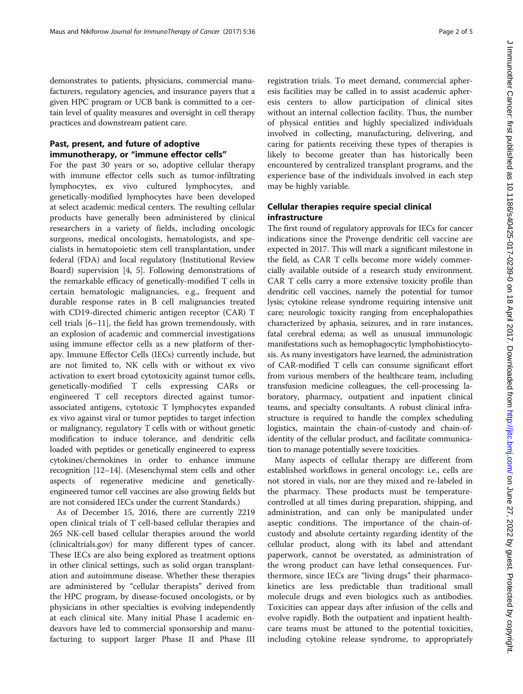demonstrates to patients, physicians, commercial manufacturers, regulatory agencies, and insurance payers that a given HPC program or UCB bank is committed to a certain level of quality measures and oversight in cell therapy practices and downstream patient care.

# Past, present, and future of adoptive immunotherapy, or "immune effector cells"

For the past 30 years or so, adoptive cellular therapy with immune effector cells such as tumor-infiltrating lymphocytes, ex vivo cultured lymphocytes, and genetically-modified lymphocytes have been developed at select academic medical centers. The resulting cellular products have generally been administered by clinical researchers in a variety of fields, including oncologic surgeons, medical oncologists, hematologists, and specialists in hematopoietic stem cell transplantation, under federal (FDA) and local regulatory (Institutional Review Board) supervision [\[4](#page-4-0), [5\]](#page-4-0). Following demonstrations of the remarkable efficacy of genetically-modified T cells in certain hematologic malignancies, e.g., frequent and durable response rates in B cell malignancies treated with CD19-directed chimeric antigen receptor (CAR) T cell trials [\[6](#page-4-0)–[11\]](#page-4-0), the field has grown tremendously, with an explosion of academic and commercial investigations using immune effector cells as a new platform of therapy. Immune Effector Cells (IECs) currently include, but are not limited to, NK cells with or without ex vivo activation to exert broad cytotoxicity against tumor cells, genetically-modified T cells expressing CARs or engineered T cell receptors directed against tumorassociated antigens, cytotoxic T lymphocytes expanded ex vivo against viral or tumor peptides to target infection or malignancy, regulatory T cells with or without genetic modification to induce tolerance, and dendritic cells loaded with peptides or genetically engineered to express cytokines/chemokines in order to enhance immune recognition [\[12](#page-4-0)–[14\]](#page-4-0). (Mesenchymal stem cells and other aspects of regenerative medicine and geneticallyengineered tumor cell vaccines are also growing fields but are not considered IECs under the current Standards.)

As of December 15, 2016, there are currently 2219 open clinical trials of T cell-based cellular therapies and 265 NK-cell based cellular therapies around the world (clinicaltrials.gov) for many different types of cancer. These IECs are also being explored as treatment options in other clinical settings, such as solid organ transplantation and autoimmune disease. Whether these therapies are administered by "cellular therapists" derived from the HPC program, by disease-focused oncologists, or by physicians in other specialties is evolving independently at each clinical site. Many initial Phase I academic endeavors have led to commercial sponsorship and manufacturing to support larger Phase II and Phase III

registration trials. To meet demand, commercial apheresis facilities may be called in to assist academic apheresis centers to allow participation of clinical sites without an internal collection facility. Thus, the number of physical entities and highly specialized individuals involved in collecting, manufacturing, delivering, and caring for patients receiving these types of therapies is likely to become greater than has historically been encountered by centralized transplant programs, and the experience base of the individuals involved in each step may be highly variable.

# Cellular therapies require special clinical infrastructure

The first round of regulatory approvals for IECs for cancer indications since the Provenge dendritic cell vaccine are expected in 2017. This will mark a significant milestone in the field, as CAR T cells become more widely commercially available outside of a research study environment. CAR T cells carry a more extensive toxicity profile than dendritic cell vaccines, namely the potential for tumor lysis; cytokine release syndrome requiring intensive unit care; neurologic toxicity ranging from encephalopathies characterized by aphasia, seizures, and in rare instances, fatal cerebral edema; as well as unusual immunologic manifestations such as hemophagocytic lymphohistiocytosis. As many investigators have learned, the administration of CAR-modified T cells can consume significant effort from various members of the healthcare team, including transfusion medicine colleagues, the cell-processing laboratory, pharmacy, outpatient and inpatient clinical teams, and specialty consultants. A robust clinical infrastructure is required to handle the complex scheduling logistics, maintain the chain-of-custody and chain-ofidentity of the cellular product, and facilitate communication to manage potentially severe toxicities.

Many aspects of cellular therapy are different from established workflows in general oncology: i.e., cells are not stored in vials, nor are they mixed and re-labeled in the pharmacy. These products must be temperaturecontrolled at all times during preparation, shipping, and administration, and can only be manipulated under aseptic conditions. The importance of the chain-ofcustody and absolute certainty regarding identity of the cellular product, along with its label and attendant paperwork, cannot be overstated, as administration of the wrong product can have lethal consequences. Furthermore, since IECs are "living drugs" their pharmacokinetics are less predictable than traditional small molecule drugs and even biologics such as antibodies. Toxicities can appear days after infusion of the cells and evolve rapidly. Both the outpatient and inpatient healthcare teams must be attuned to the potential toxicities, including cytokine release syndrome, to appropriately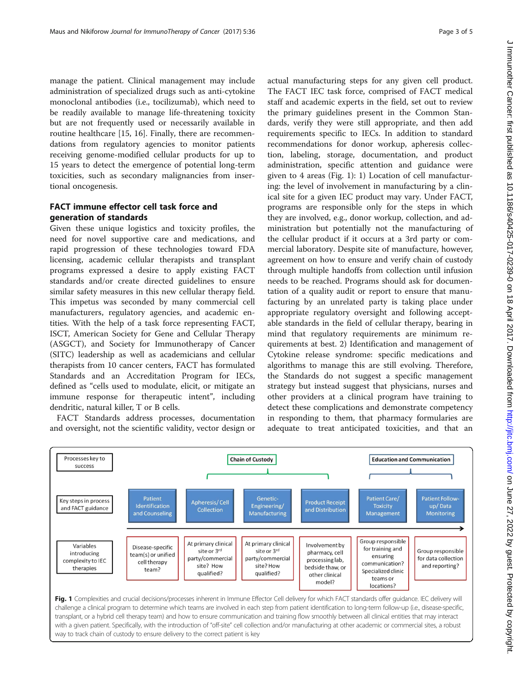manage the patient. Clinical management may include administration of specialized drugs such as anti-cytokine monoclonal antibodies (i.e., tocilizumab), which need to be readily available to manage life-threatening toxicity but are not frequently used or necessarily available in routine healthcare [[15, 16\]](#page-4-0). Finally, there are recommendations from regulatory agencies to monitor patients receiving genome-modified cellular products for up to 15 years to detect the emergence of potential long-term toxicities, such as secondary malignancies from insertional oncogenesis.

# FACT immune effector cell task force and generation of standards

Given these unique logistics and toxicity profiles, the need for novel supportive care and medications, and rapid progression of these technologies toward FDA licensing, academic cellular therapists and transplant programs expressed a desire to apply existing FACT standards and/or create directed guidelines to ensure similar safety measures in this new cellular therapy field. This impetus was seconded by many commercial cell manufacturers, regulatory agencies, and academic entities. With the help of a task force representing FACT, ISCT, American Society for Gene and Cellular Therapy (ASGCT), and Society for Immunotherapy of Cancer (SITC) leadership as well as academicians and cellular therapists from 10 cancer centers, FACT has formulated Standards and an Accreditation Program for IECs, defined as "cells used to modulate, elicit, or mitigate an immune response for therapeutic intent", including dendritic, natural killer, T or B cells.

FACT Standards address processes, documentation and oversight, not the scientific validity, vector design or actual manufacturing steps for any given cell product. The FACT IEC task force, comprised of FACT medical staff and academic experts in the field, set out to review the primary guidelines present in the Common Standards, verify they were still appropriate, and then add requirements specific to IECs. In addition to standard recommendations for donor workup, apheresis collection, labeling, storage, documentation, and product administration, specific attention and guidance were given to 4 areas (Fig. 1): 1) Location of cell manufacturing: the level of involvement in manufacturing by a clinical site for a given IEC product may vary. Under FACT, programs are responsible only for the steps in which they are involved, e.g., donor workup, collection, and administration but potentially not the manufacturing of the cellular product if it occurs at a 3rd party or commercial laboratory. Despite site of manufacture, however, agreement on how to ensure and verify chain of custody through multiple handoffs from collection until infusion needs to be reached. Programs should ask for documentation of a quality audit or report to ensure that manufacturing by an unrelated party is taking place under appropriate regulatory oversight and following acceptable standards in the field of cellular therapy, bearing in mind that regulatory requirements are minimum requirements at best. 2) Identification and management of Cytokine release syndrome: specific medications and algorithms to manage this are still evolving. Therefore, the Standards do not suggest a specific management strategy but instead suggest that physicians, nurses and other providers at a clinical program have training to detect these complications and demonstrate competency in responding to them, that pharmacy formularies are adequate to treat anticipated toxicities, and that an



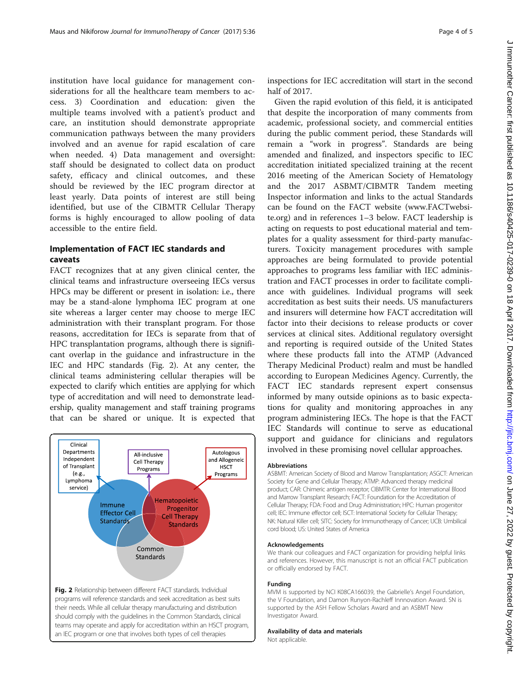J Immunother Cancer: first published as 10.1186/s40425-017-0239-0 on 18 April 2017. Downloaded from http://jitc.bmj.com/ on June 27, 2022 by guest. Protected by copyright J Immunother Cancer: tirst published as 10.1186/s40425-017-0239-0 on 18 April 2017. Downloaded from <http://jitc.bmj.com/> on June 27, 2022 by guest. Protected by copyright.

institution have local guidance for management considerations for all the healthcare team members to access. 3) Coordination and education: given the multiple teams involved with a patient's product and care, an institution should demonstrate appropriate communication pathways between the many providers involved and an avenue for rapid escalation of care when needed. 4) Data management and oversight: staff should be designated to collect data on product safety, efficacy and clinical outcomes, and these should be reviewed by the IEC program director at least yearly. Data points of interest are still being identified, but use of the CIBMTR Cellular Therapy forms is highly encouraged to allow pooling of data accessible to the entire field.

# Implementation of FACT IEC standards and caveats

FACT recognizes that at any given clinical center, the clinical teams and infrastructure overseeing IECs versus HPCs may be different or present in isolation: i.e., there may be a stand-alone lymphoma IEC program at one site whereas a larger center may choose to merge IEC administration with their transplant program. For those reasons, accreditation for IECs is separate from that of HPC transplantation programs, although there is significant overlap in the guidance and infrastructure in the IEC and HPC standards (Fig. 2). At any center, the clinical teams administering cellular therapies will be expected to clarify which entities are applying for which type of accreditation and will need to demonstrate leadership, quality management and staff training programs that can be shared or unique. It is expected that



inspections for IEC accreditation will start in the second half of 2017.

Given the rapid evolution of this field, it is anticipated that despite the incorporation of many comments from academic, professional society, and commercial entities during the public comment period, these Standards will remain a "work in progress". Standards are being amended and finalized, and inspectors specific to IEC accreditation initiated specialized training at the recent 2016 meeting of the American Society of Hematology and the 2017 ASBMT/CIBMTR Tandem meeting Inspector information and links to the actual Standards can be found on the FACT website ([www.FACTwebsi](http://www.factwebsite.org/)[te.org\)](http://www.factwebsite.org/) and in references 1–3 below. FACT leadership is acting on requests to post educational material and templates for a quality assessment for third-party manufacturers. Toxicity management procedures with sample approaches are being formulated to provide potential approaches to programs less familiar with IEC administration and FACT processes in order to facilitate compliance with guidelines. Individual programs will seek accreditation as best suits their needs. US manufacturers and insurers will determine how FACT accreditation will factor into their decisions to release products or cover services at clinical sites. Additional regulatory oversight and reporting is required outside of the United States where these products fall into the ATMP (Advanced Therapy Medicinal Product) realm and must be handled according to European Medicines Agency. Currently, the FACT IEC standards represent expert consensus informed by many outside opinions as to basic expectations for quality and monitoring approaches in any program administering IECs. The hope is that the FACT IEC Standards will continue to serve as educational support and guidance for clinicians and regulators involved in these promising novel cellular approaches.

#### Abbreviations

ASBMT: American Society of Blood and Marrow Transplantation; ASGCT: American Society for Gene and Cellular Therapy; ATMP: Advanced therapy medicinal product; CAR: Chimeric antigen receptor; CIBMTR: Center for International Blood and Marrow Transplant Research; FACT: Foundation for the Accreditation of Cellular Therapy; FDA: Food and Drug Administration; HPC: Human progenitor cell; IEC: Immune effector cell; ISCT: International Society for Cellular Therapy; NK: Natural Killer cell; SITC: Society for Immunotherapy of Cancer; UCB: Umbilical cord blood; US: United States of America

#### Acknowledgements

We thank our colleagues and FACT organization for providing helpful links and references. However, this manuscript is not an official FACT publication or officially endorsed by FACT.

#### Funding

MVM is supported by NCI K08CA166039, the Gabrielle's Angel Foundation, the V Foundation, and Damon Runyon-Rachleff Innnovation Award. SN is supported by the ASH Fellow Scholars Award and an ASBMT New Investigator Award.

#### Availability of data and materials

Not applicable.